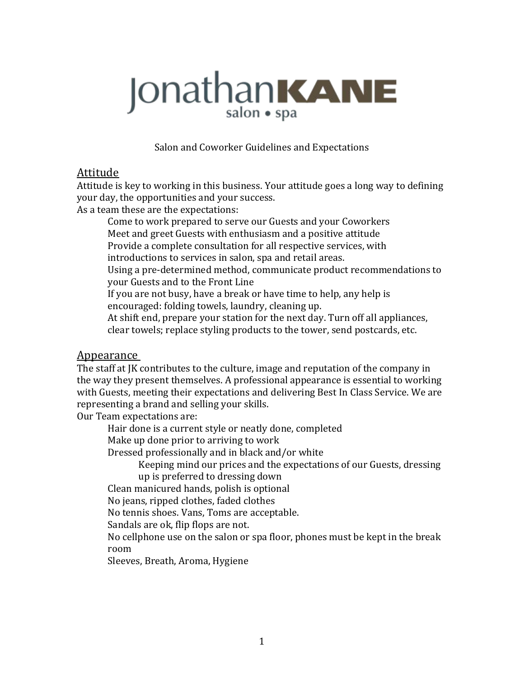# JonathanKANE

Salon and Coworker Guidelines and Expectations

### Attitude

Attitude is key to working in this business. Your attitude goes a long way to defining your day, the opportunities and your success.

As a team these are the expectations:

Come to work prepared to serve our Guests and your Coworkers Meet and greet Guests with enthusiasm and a positive attitude

Provide a complete consultation for all respective services, with

introductions to services in salon, spa and retail areas.

Using a pre-determined method, communicate product recommendations to your Guests and to the Front Line

If you are not busy, have a break or have time to help, any help is encouraged: folding towels, laundry, cleaning up.

At shift end, prepare your station for the next day. Turn off all appliances, clear towels; replace styling products to the tower, send postcards, etc.

### Appearance

The staff at IK contributes to the culture, image and reputation of the company in the way they present themselves. A professional appearance is essential to working with Guests, meeting their expectations and delivering Best In Class Service. We are representing a brand and selling your skills.

Our Team expectations are:

Hair done is a current style or neatly done, completed

Make up done prior to arriving to work

Dressed professionally and in black and/or white

Keeping mind our prices and the expectations of our Guests, dressing up is preferred to dressing down

Clean manicured hands, polish is optional

No jeans, ripped clothes, faded clothes

No tennis shoes. Vans, Toms are acceptable.

Sandals are ok, flip flops are not.

No cellphone use on the salon or spa floor, phones must be kept in the break room

Sleeves, Breath, Aroma, Hygiene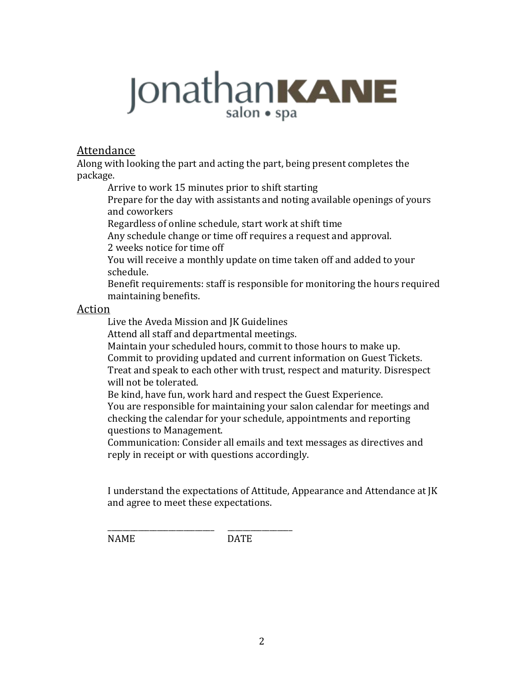# JonathanKANE

#### Attendance

Along with looking the part and acting the part, being present completes the package. 

Arrive to work 15 minutes prior to shift starting

Prepare for the day with assistants and noting available openings of yours and coworkers

Regardless of online schedule, start work at shift time

Any schedule change or time off requires a request and approval.

2 weeks notice for time off

You will receive a monthly update on time taken off and added to your schedule. 

Benefit requirements: staff is responsible for monitoring the hours required maintaining benefits.

#### Action

Live the Aveda Mission and JK Guidelines

\_\_\_\_\_\_\_\_\_\_\_\_\_\_\_\_\_\_\_\_\_\_\_\_\_\_\_\_ \_\_\_\_\_\_\_\_\_\_\_\_\_\_\_\_\_

Attend all staff and departmental meetings.

Maintain your scheduled hours, commit to those hours to make up.

Commit to providing updated and current information on Guest Tickets. Treat and speak to each other with trust, respect and maturity. Disrespect will not be tolerated.

Be kind, have fun, work hard and respect the Guest Experience.

You are responsible for maintaining your salon calendar for meetings and checking the calendar for your schedule, appointments and reporting questions to Management.

Communication: Consider all emails and text messages as directives and reply in receipt or with questions accordingly.

I understand the expectations of Attitude, Appearance and Attendance at JK and agree to meet these expectations.

NAME DATE